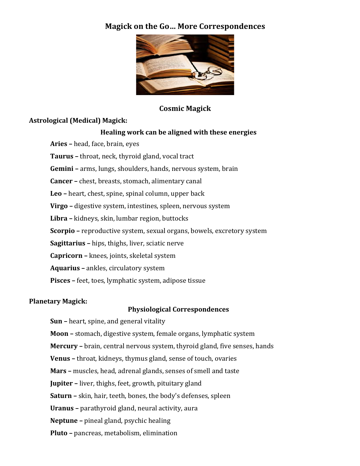# **Magick on the Go… More Correspondences**



# **Cosmic Magick**

# **Astrological (Medical) Magick:**

# **Healing work can be aligned with these energies**

**Aries** – head, face, brain, eyes

**Taurus** – throat, neck, thyroid gland, vocal tract

**Gemini** – arms, lungs, shoulders, hands, nervous system, brain

**Cancer** – chest, breasts, stomach, alimentary canal

**Leo** – heart, chest, spine, spinal column, upper back

**Virgo** – digestive system, intestines, spleen, nervous system

Libra - kidneys, skin, lumbar region, buttocks

**Scorpio** – reproductive system, sexual organs, bowels, excretory system

**Sagittarius** – hips, thighs, liver, sciatic nerve

**Capricorn** – knees, joints, skeletal system

**Aquarius** – ankles, circulatory system

**Pisces** – feet, toes, lymphatic system, adipose tissue

# **Planetary Magick:**

### **Physiological Correspondences**

**Sun** – heart, spine, and general vitality

**Moon** – stomach, digestive system, female organs, lymphatic system

**Mercury** – brain, central nervous system, thyroid gland, five senses, hands

**Venus** – throat, kidneys, thymus gland, sense of touch, ovaries

**Mars** – muscles, head, adrenal glands, senses of smell and taste

**Jupiter** – liver, thighs, feet, growth, pituitary gland

**Saturn** – skin, hair, teeth, bones, the body's defenses, spleen

**Uranus** – parathyroid gland, neural activity, aura

**Neptune** – pineal gland, psychic healing

**Pluto** – pancreas, metabolism, elimination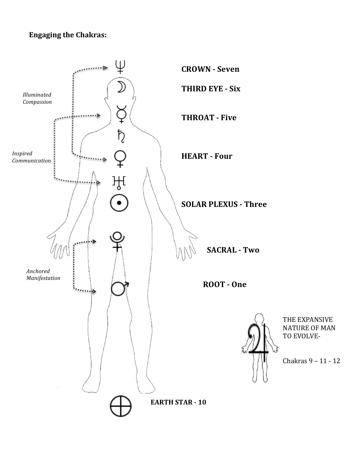# **Engaging the Chakras:**



THE EXPANSIVE **NATURE OF MAN** TO EVOLVE-

Chakras 9 - 11 - 12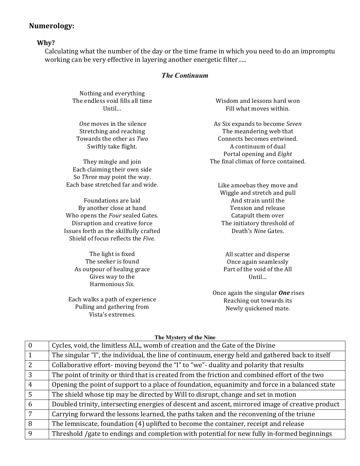# **Numerology:**

### **Why?**

Calculating what the number of the day or the time frame in which you need to do an impromptu working can be very effective in layering another energetic filter.....

#### *The Continuum*

Nothing and everything The endless void fills all time Until…

One moves in the silence Stretching and reaching Towards the other as *Two* Swiftly take flight.

They mingle and join Each claiming their own side So *Three* may point the way. Each base stretched far and wide.

Foundations are laid By another close at hand Who opens the *Four* sealed Gates. Disruption and creative force Issues forth as the skillfully crafted Shield of focus reflects the *Five*.

> The light is fixed The seeker is found As outpour of healing grace Gives way to the Harmonious *Six.*

Each walks a path of experience Pulling and gathering from Vista's extremes.

Wisdom and lessons hard won Fill what moves within.

As Six expands to become *Seven* The meandering web that Connects becomes entwined. A continuum of dual Portal opening and *Eight* The final climax of force contained.

Like amoebas they move and Wiggle and stretch and pull And strain until the Tension and release Catapult them over The initiatory threshold of Death's Nine Gates.

All scatter and disperse Once again seamlessly Part of the void of the All Until…

Once again the singular **One** rises Reaching out towards its Newly quickened mate.

#### **The Mystery of the Nine**

| $\theta$       | Cycles, void, the limitless ALL, womb of creation and the Gate of the Divine                     |
|----------------|--------------------------------------------------------------------------------------------------|
|                | The singular "I", the individual, the line of continuum, energy held and gathered back to itself |
| $\overline{2}$ | Collaborative effort- moving beyond the "I" to "we"- duality and polarity that results           |
| 3              | The point of trinity or third that is created from the friction and combined effort of the two   |
| $\overline{4}$ | Opening the point of support to a place of foundation, equanimity and force in a balanced state  |
| 5              | The shield whose tip may be directed by Will to disrupt, change and set in motion                |
| 6              | Doubled trinity, intersecting energies of descent and ascent, mirrored image of creative product |
| 7              | Carrying forward the lessons learned, the paths taken and the reconvening of the triune          |
| 8              | The lemniscate, foundation (4) uplifted to become the container, receipt and release             |
| 9              | Threshold /gate to endings and completion with potential for new fully in-formed beginnings      |